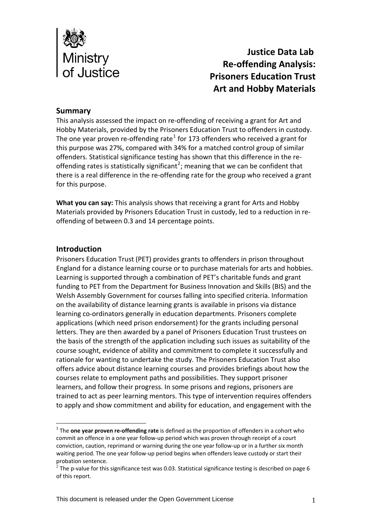

 **Justice Data Lab Re‐offending Analysis: Prisoners Education Trust Art and Hobby Materials**

#### **Summary**

This analysis assessed the impact on re‐offending of receiving a grant for Art and Hobby Materials, provided by the Prisoners Education Trust to offenders in custody. The one year proven re-offending rate<sup>[1](#page-0-0)</sup> for 173 offenders who received a grant for this purpose was 27%, compared with 34% for a matched control group of similar offenders. Statistical significance testing has shown that this difference in the re‐ offending rates is statistically significant<sup>[2](#page-0-1)</sup>; meaning that we can be confident that there is a real difference in the re‐offending rate for the group who received a grant for this purpose.

**What you can say:** This analysis shows that receiving a grant for Arts and Hobby Materials provided by Prisoners Education Trust in custody, led to a reduction in re‐ offending of between 0.3 and 14 percentage points.

#### **Introduction**

1

Prisoners Education Trust (PET) provides grants to offenders in prison throughout England for a distance learning course or to purchase materials for arts and hobbies. Learning is supported through a combination of PET's charitable funds and grant funding to PET from the Department for Business Innovation and Skills (BIS) and the Welsh Assembly Government for courses falling into specified criteria. Information on the availability of distance learning grants is available in prisons via distance learning co-ordinators generally in education departments. Prisoners complete applications (which need prison endorsement) for the grants including personal letters. They are then awarded by a panel of Prisoners Education Trust trustees on the basis of the strength of the application including such issues as suitability of the course sought, evidence of ability and commitment to complete it successfully and rationale for wanting to undertake the study. The Prisoners Education Trust also offers advice about distance learning courses and provides briefings about how the courses relate to employment paths and possibilities. They support prisoner learners, and follow their progress. In some prisons and regions, prisoners are trained to act as peer learning mentors. This type of intervention requires offenders to apply and show commitment and ability for education, and engagement with the

<span id="page-0-0"></span><sup>1</sup> The **one year proven re‐offending rate** is defined as the proportion of offenders in a cohort who commit an offence in a one year follow‐up period which was proven through receipt of a court conviction, caution, reprimand or warning during the one year follow‐up or in a further six month waiting period. The one year follow-up period begins when offenders leave custody or start their probation sentence.

<span id="page-0-1"></span><sup>&</sup>lt;sup>2</sup> The p-value for this significance test was 0.03. Statistical significance testing is described on page 6 of this report.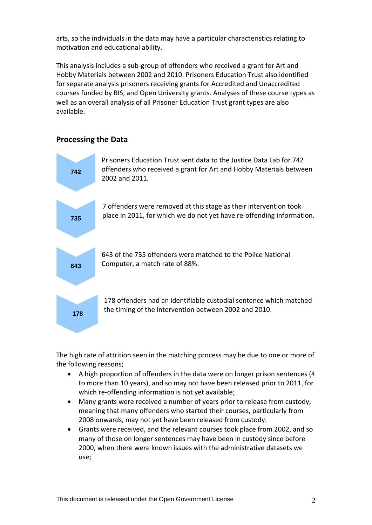arts, so the individuals in the data may have a particular characteristics relating to motivation and educational ability.

This analysis includes a sub‐group of offenders who received a grant for Art and Hobby Materials between 2002 and 2010. Prisoners Education Trust also identified for separate analysis prisoners receiving grants for Accredited and Unaccredited courses funded by BIS, and Open University grants. Analyses of these course types as well as an overall analysis of all Prisoner Education Trust grant types are also available.

## **Processing the Data**



The high rate of attrition seen in the matching process may be due to one or more of the following reasons;

- A high proportion of offenders in the data were on longer prison sentences (4 to more than 10 years), and so may not have been released prior to 2011, for which re-offending information is not yet available;
- Many grants were received a number of years prior to release from custody, meaning that many offenders who started their courses, particularly from 2008 onwards, may not yet have been released from custody.
- Grants were received, and the relevant courses took place from 2002, and so many of those on longer sentences may have been in custody since before 2000, when there were known issues with the administrative datasets we use;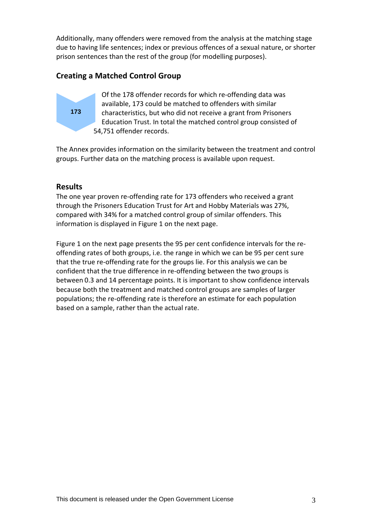Additionally, many offenders were removed from the analysis at the matching stage due to having life sentences; index or previous offences of a sexual nature, or shorter prison sentences than the rest of the group (for modelling purposes).

# **Creating a Matched Control Group**



Of the 178 offender records for which re‐offending data was available, 173 could be matched to offenders with similar characteristics, but who did not receive a grant from Prisoners Education Trust. In total the matched control group consisted of 54,751 offender records.

The Annex provides information on the similarity between the treatment and control groups. Further data on the matching process is available upon request.

## **Results**

The one year proven re-offending rate for 173 offenders who received a grant through the Prisoners Education Trust for Art and Hobby Materials was 27%, compared with 34% for a matched control group of similar offenders. This information is displayed in Figure 1 on the next page.

Figure 1 on the next page presents the 95 per cent confidence intervals for the re‐ offending rates of both groups, i.e. the range in which we can be 95 per cent sure that the true re‐offending rate for the groups lie. For this analysis we can be confident that the true difference in re‐offending between the two groups is between 0.3 and 14 percentage points. It is important to show confidence intervals because both the treatment and matched control groups are samples of larger populations; the re‐offending rate is therefore an estimate for each population based on a sample, rather than the actual rate.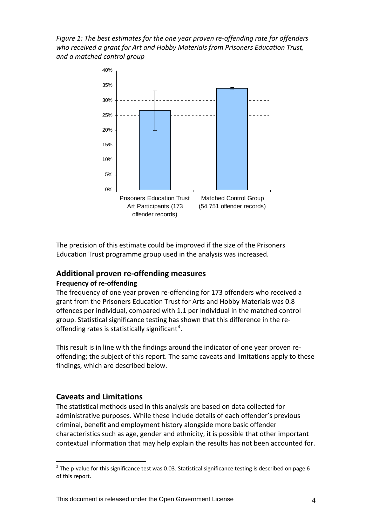*Figure 1: The best estimates for the one year proven re‐offending rate for offenders who received a grant for Art and Hobby Materials from Prisoners Education Trust, and a matched control group*



The precision of this estimate could be improved if the size of the Prisoners Education Trust programme group used in the analysis was increased.

## **Additional proven re‐offending measures Frequency of re‐offending**

The frequency of one year proven re-offending for 173 offenders who received a grant from the Prisoners Education Trust for Arts and Hobby Materials was 0.8 offences per individual, compared with 1.1 per individual in the matched control group. Statistical significance testing has shown that this difference in the re‐ offending rates is statistically significant<sup>[3](#page-3-0)</sup>.

This result is in line with the findings around the indicator of one year proven re‐ offending; the subject of this report. The same caveats and limitations apply to these findings, which are described below.

## **Caveats and Limitations**

1

The statistical methods used in this analysis are based on data collected for administrative purposes. While these include details of each offender's previous criminal, benefit and employment history alongside more basic offender characteristics such as age, gender and ethnicity, it is possible that other important contextual information that may help explain the results has not been accounted for.

<span id="page-3-0"></span> $3$  The p-value for this significance test was 0.03. Statistical significance testing is described on page 6 of this report.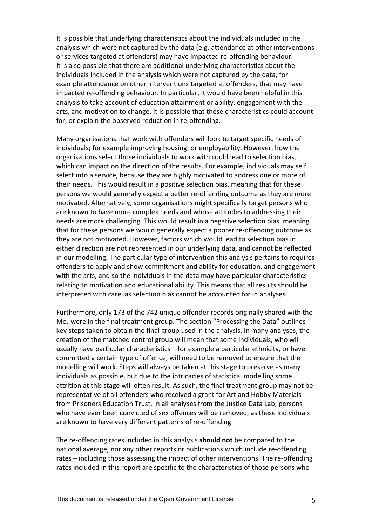It is possible that underlying characteristics about the individuals included in the analysis which were not captured by the data (e.g. attendance at other interventions or services targeted at offenders) may have impacted re‐offending behaviour. It is also possible that there are additional underlying characteristics about the individuals included in the analysis which were not captured by the data, for example attendance on other interventions targeted at offenders, that may have impacted re-offending behaviour. In particular, it would have been helpful in this analysis to take account of education attainment or ability, engagement with the arts, and motivation to change. It is possible that these characteristics could account for, or explain the observed reduction in re-offending.

Many organisations that work with offenders will look to target specific needs of individuals; for example improving housing, or employability. However, how the organisations select those individuals to work with could lead to selection bias, which can impact on the direction of the results. For example; individuals may self select into a service, because they are highly motivated to address one or more of their needs. This would result in a positive selection bias, meaning that for these persons we would generally expect a better re‐offending outcome as they are more motivated. Alternatively, some organisations might specifically target persons who are known to have more complex needs and whose attitudes to addressing their needs are more challenging. This would result in a negative selection bias, meaning that for these persons we would generally expect a poorer re‐offending outcome as they are not motivated. However, factors which would lead to selection bias in either direction are not represented in our underlying data, and cannot be reflected in our modelling. The particular type of intervention this analysis pertains to requires offenders to apply and show commitment and ability for education, and engagement with the arts, and so the individuals in the data may have particular characteristics relating to motivation and educational ability. This means that all results should be interpreted with care, as selection bias cannot be accounted for in analyses.

Furthermore, only 173 of the 742 unique offender records originally shared with the MoJ were in the final treatment group. The section "Processing the Data" outlines key steps taken to obtain the final group used in the analysis. In many analyses, the creation of the matched control group will mean that some individuals, who will usually have particular characteristics – for example a particular ethnicity, or have committed a certain type of offence, will need to be removed to ensure that the modelling will work. Steps will always be taken at this stage to preserve as many individuals as possible, but due to the intricacies of statistical modelling some attrition at this stage will often result. As such, the final treatment group may not be representative of all offenders who received a grant for Art and Hobby Materials from Prisoners Education Trust. In all analyses from the Justice Data Lab, persons who have ever been convicted of sex offences will be removed, as these individuals are known to have very different patterns of re‐offending.

The re‐offending rates included in this analysis **should not** be compared to the national average, nor any other reports or publications which include re-offending rates – including those assessing the impact of other interventions. The re-offending rates included in this report are specific to the characteristics of those persons who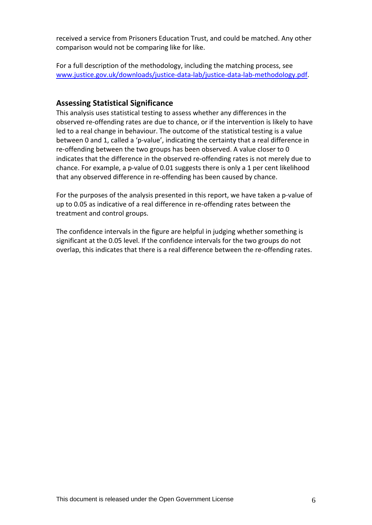received a service from Prisoners Education Trust, and could be matched. Any other comparison would not be comparing like for like.

For a full description of the methodology, including the matching process, see [www.justice.gov.uk/downloads/justice](http://www.justice.gov.uk/downloads/justice-data-lab/justice-data-lab-methodology.pdf)‐data‐lab/justice‐data‐lab‐methodology.pdf.

#### **Assessing Statistical Significance**

This analysis uses statistical testing to assess whether any differences in the observed re‐offending rates are due to chance, or if the intervention is likely to have led to a real change in behaviour. The outcome of the statistical testing is a value between 0 and 1, called a 'p-value', indicating the certainty that a real difference in re-offending between the two groups has been observed. A value closer to 0 indicates that the difference in the observed re‐offending rates is not merely due to chance. For example, a p‐value of 0.01 suggests there is only a 1 per cent likelihood that any observed difference in re‐offending has been caused by chance.

For the purposes of the analysis presented in this report, we have taken a p-value of up to 0.05 as indicative of a real difference in re‐offending rates between the treatment and control groups.

The confidence intervals in the figure are helpful in judging whether something is significant at the 0.05 level. If the confidence intervals for the two groups do not overlap, this indicates that there is a real difference between the re‐offending rates.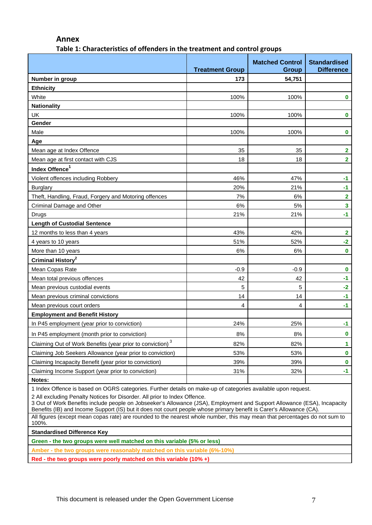#### **Annex**

**Table 1: Characteristics of offenders in the treatment and control groups**

|                                                                                                                                                                                                                                                   | <b>Treatment Group</b> | <b>Matched Control</b><br>Group | <b>Standardised</b><br><b>Difference</b> |
|---------------------------------------------------------------------------------------------------------------------------------------------------------------------------------------------------------------------------------------------------|------------------------|---------------------------------|------------------------------------------|
| Number in group                                                                                                                                                                                                                                   | 173                    | 54,751                          |                                          |
| <b>Ethnicity</b>                                                                                                                                                                                                                                  |                        |                                 |                                          |
| White                                                                                                                                                                                                                                             | 100%                   | 100%                            | $\bf{0}$                                 |
| <b>Nationality</b>                                                                                                                                                                                                                                |                        |                                 |                                          |
| <b>UK</b>                                                                                                                                                                                                                                         | 100%                   | 100%                            | $\mathbf 0$                              |
| Gender                                                                                                                                                                                                                                            |                        |                                 |                                          |
| Male                                                                                                                                                                                                                                              | 100%                   | 100%                            | $\bf{0}$                                 |
| Age                                                                                                                                                                                                                                               |                        |                                 |                                          |
| Mean age at Index Offence                                                                                                                                                                                                                         | 35                     | 35                              | $\overline{\mathbf{2}}$                  |
| Mean age at first contact with CJS                                                                                                                                                                                                                | 18                     | 18                              | $\overline{2}$                           |
| Index Offence <sup>1</sup>                                                                                                                                                                                                                        |                        |                                 |                                          |
| Violent offences including Robbery                                                                                                                                                                                                                | 46%                    | 47%                             | $-1$                                     |
| <b>Burglary</b>                                                                                                                                                                                                                                   | 20%                    | 21%                             | $-1$                                     |
| Theft, Handling, Fraud, Forgery and Motoring offences                                                                                                                                                                                             | 7%                     | 6%                              | $\overline{\mathbf{2}}$                  |
| Criminal Damage and Other                                                                                                                                                                                                                         | 6%                     | 5%                              | $\overline{\mathbf{3}}$                  |
| Drugs                                                                                                                                                                                                                                             | 21%                    | 21%                             | $-1$                                     |
| <b>Length of Custodial Sentence</b>                                                                                                                                                                                                               |                        |                                 |                                          |
| 12 months to less than 4 years                                                                                                                                                                                                                    | 43%                    | 42%                             | $\overline{\mathbf{2}}$                  |
| 4 years to 10 years                                                                                                                                                                                                                               | 51%                    | 52%                             | $-2$                                     |
| More than 10 years                                                                                                                                                                                                                                | 6%                     | 6%                              | $\bf{0}$                                 |
| Criminal History <sup>2</sup>                                                                                                                                                                                                                     |                        |                                 |                                          |
| Mean Copas Rate                                                                                                                                                                                                                                   | $-0.9$                 | $-0.9$                          | $\bf{0}$                                 |
| Mean total previous offences                                                                                                                                                                                                                      | 42                     | 42                              | $-1$                                     |
| Mean previous custodial events                                                                                                                                                                                                                    | 5                      | 5                               | $-2$                                     |
| Mean previous criminal convictions                                                                                                                                                                                                                | 14                     | 14                              | $-1$                                     |
| Mean previous court orders                                                                                                                                                                                                                        | 4                      | 4                               | $-1$                                     |
| <b>Employment and Benefit History</b>                                                                                                                                                                                                             |                        |                                 |                                          |
| In P45 employment (year prior to conviction)                                                                                                                                                                                                      | 24%                    | 25%                             | $-1$                                     |
| In P45 employment (month prior to conviction)                                                                                                                                                                                                     | 8%                     | 8%                              | 0                                        |
| Claiming Out of Work Benefits (year prior to conviction) <sup>3</sup>                                                                                                                                                                             | 82%                    | 82%                             | 1                                        |
| Claiming Job Seekers Allowance (year prior to conviction)                                                                                                                                                                                         | 53%                    | 53%                             | $\bf{0}$                                 |
| Claiming Incapacity Benefit (year prior to conviction)                                                                                                                                                                                            | 39%                    | 39%                             | $\bf{0}$                                 |
| Claiming Income Support (year prior to conviction)                                                                                                                                                                                                | 31%                    | 32%                             | $-1$                                     |
| Notes:                                                                                                                                                                                                                                            |                        |                                 |                                          |
| 1 Index Offence is based on OGRS categories. Further details on make-up of categories available upon request.                                                                                                                                     |                        |                                 |                                          |
| 2 All excluding Penalty Notices for Disorder. All prior to Index Offence.<br>3 Out of Work Benefits include people on Jobseeker's Allowance (JSA), Employment and Support Allowance (ESA), Incapacity                                             |                        |                                 |                                          |
| Benefits (IB) and Income Support (IS) but it does not count people whose primary benefit is Carer's Allowance (CA).<br>All figures (except mean copas rate) are rounded to the nearest whole number, this may mean that percentages do not sum to |                        |                                 |                                          |
| 100%.                                                                                                                                                                                                                                             |                        |                                 |                                          |
| <b>Standardised Difference Key</b>                                                                                                                                                                                                                |                        |                                 |                                          |
| Green - the two groups were well matched on this variable (5% or less)                                                                                                                                                                            |                        |                                 |                                          |
| Amber - the two groups were reasonably matched on this variable (6%-10%)                                                                                                                                                                          |                        |                                 |                                          |

**Red - the two groups were poorly matched on this variable (10% +)**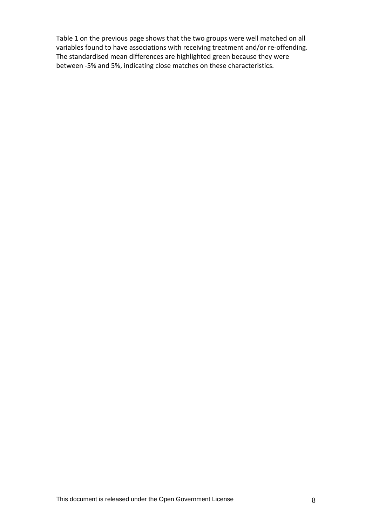Table 1 on the previous page shows that the two groups were well matched on all variables found to have associations with receiving treatment and/or re-offending. The standardised mean differences are highlighted green because they were between ‐5% and 5%, indicating close matches on these characteristics.